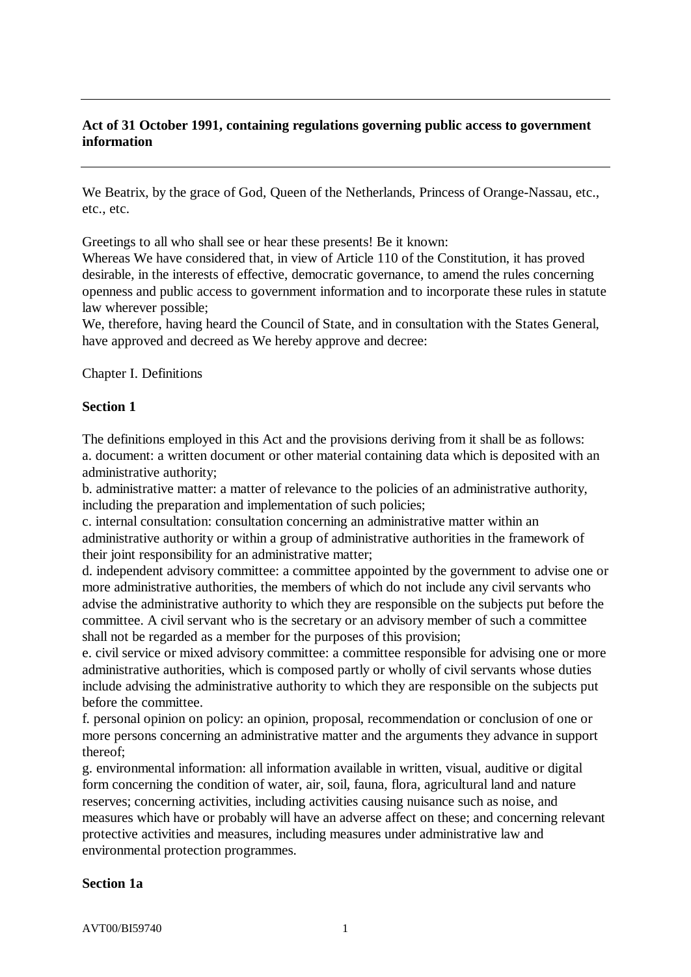# **Act of 31 October 1991, containing regulations governing public access to government information**

We Beatrix, by the grace of God, Queen of the Netherlands, Princess of Orange-Nassau, etc., etc., etc.

Greetings to all who shall see or hear these presents! Be it known:

Whereas We have considered that, in view of Article 110 of the Constitution, it has proved desirable, in the interests of effective, democratic governance, to amend the rules concerning openness and public access to government information and to incorporate these rules in statute law wherever possible;

We, therefore, having heard the Council of State, and in consultation with the States General, have approved and decreed as We hereby approve and decree:

Chapter I. Definitions

#### **Section 1**

The definitions employed in this Act and the provisions deriving from it shall be as follows: a. document: a written document or other material containing data which is deposited with an administrative authority;

b. administrative matter: a matter of relevance to the policies of an administrative authority, including the preparation and implementation of such policies;

c. internal consultation: consultation concerning an administrative matter within an administrative authority or within a group of administrative authorities in the framework of their joint responsibility for an administrative matter;

d. independent advisory committee: a committee appointed by the government to advise one or more administrative authorities, the members of which do not include any civil servants who advise the administrative authority to which they are responsible on the subjects put before the committee. A civil servant who is the secretary or an advisory member of such a committee shall not be regarded as a member for the purposes of this provision;

e. civil service or mixed advisory committee: a committee responsible for advising one or more administrative authorities, which is composed partly or wholly of civil servants whose duties include advising the administrative authority to which they are responsible on the subjects put before the committee.

f. personal opinion on policy: an opinion, proposal, recommendation or conclusion of one or more persons concerning an administrative matter and the arguments they advance in support thereof;

g. environmental information: all information available in written, visual, auditive or digital form concerning the condition of water, air, soil, fauna, flora, agricultural land and nature reserves; concerning activities, including activities causing nuisance such as noise, and measures which have or probably will have an adverse affect on these; and concerning relevant protective activities and measures, including measures under administrative law and environmental protection programmes.

### **Section 1a**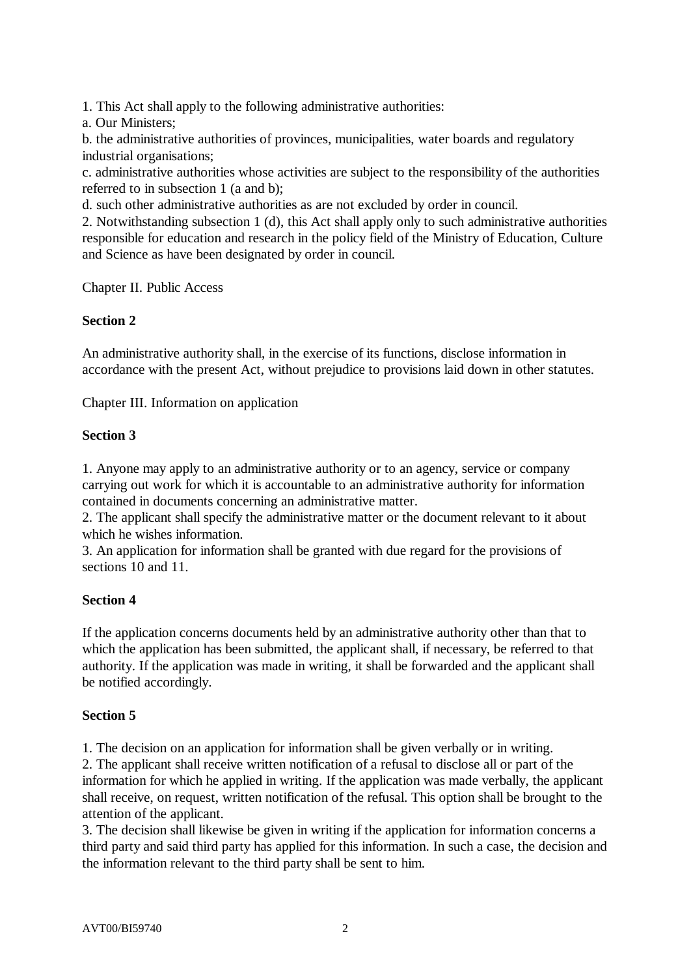1. This Act shall apply to the following administrative authorities:

a. Our Ministers;

b. the administrative authorities of provinces, municipalities, water boards and regulatory industrial organisations;

c. administrative authorities whose activities are subject to the responsibility of the authorities referred to in subsection 1 (a and b);

d. such other administrative authorities as are not excluded by order in council.

2. Notwithstanding subsection 1 (d), this Act shall apply only to such administrative authorities responsible for education and research in the policy field of the Ministry of Education, Culture and Science as have been designated by order in council.

Chapter II. Public Access

## **Section 2**

An administrative authority shall, in the exercise of its functions, disclose information in accordance with the present Act, without prejudice to provisions laid down in other statutes.

Chapter III. Information on application

## **Section 3**

1. Anyone may apply to an administrative authority or to an agency, service or company carrying out work for which it is accountable to an administrative authority for information contained in documents concerning an administrative matter.

2. The applicant shall specify the administrative matter or the document relevant to it about which he wishes information.

3. An application for information shall be granted with due regard for the provisions of sections 10 and 11.

# **Section 4**

If the application concerns documents held by an administrative authority other than that to which the application has been submitted, the applicant shall, if necessary, be referred to that authority. If the application was made in writing, it shall be forwarded and the applicant shall be notified accordingly.

# **Section 5**

1. The decision on an application for information shall be given verbally or in writing.

2. The applicant shall receive written notification of a refusal to disclose all or part of the information for which he applied in writing. If the application was made verbally, the applicant shall receive, on request, written notification of the refusal. This option shall be brought to the attention of the applicant.

3. The decision shall likewise be given in writing if the application for information concerns a third party and said third party has applied for this information. In such a case, the decision and the information relevant to the third party shall be sent to him.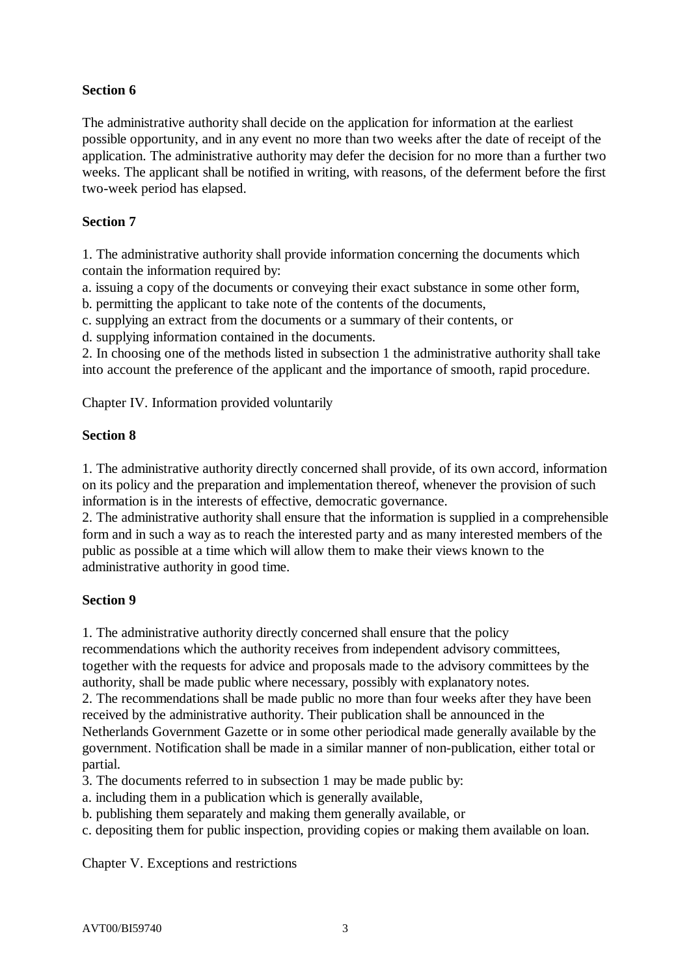# **Section 6**

The administrative authority shall decide on the application for information at the earliest possible opportunity, and in any event no more than two weeks after the date of receipt of the application. The administrative authority may defer the decision for no more than a further two weeks. The applicant shall be notified in writing, with reasons, of the deferment before the first two-week period has elapsed.

# **Section 7**

1. The administrative authority shall provide information concerning the documents which contain the information required by:

a. issuing a copy of the documents or conveying their exact substance in some other form,

b. permitting the applicant to take note of the contents of the documents,

c. supplying an extract from the documents or a summary of their contents, or

d. supplying information contained in the documents.

2. In choosing one of the methods listed in subsection 1 the administrative authority shall take into account the preference of the applicant and the importance of smooth, rapid procedure.

Chapter IV. Information provided voluntarily

# **Section 8**

1. The administrative authority directly concerned shall provide, of its own accord, information on its policy and the preparation and implementation thereof, whenever the provision of such information is in the interests of effective, democratic governance.

2. The administrative authority shall ensure that the information is supplied in a comprehensible form and in such a way as to reach the interested party and as many interested members of the public as possible at a time which will allow them to make their views known to the administrative authority in good time.

# **Section 9**

1. The administrative authority directly concerned shall ensure that the policy

recommendations which the authority receives from independent advisory committees, together with the requests for advice and proposals made to the advisory committees by the authority, shall be made public where necessary, possibly with explanatory notes.

2. The recommendations shall be made public no more than four weeks after they have been received by the administrative authority. Their publication shall be announced in the Netherlands Government Gazette or in some other periodical made generally available by the government. Notification shall be made in a similar manner of non-publication, either total or partial.

3. The documents referred to in subsection 1 may be made public by:

- a. including them in a publication which is generally available,
- b. publishing them separately and making them generally available, or
- c. depositing them for public inspection, providing copies or making them available on loan.

Chapter V. Exceptions and restrictions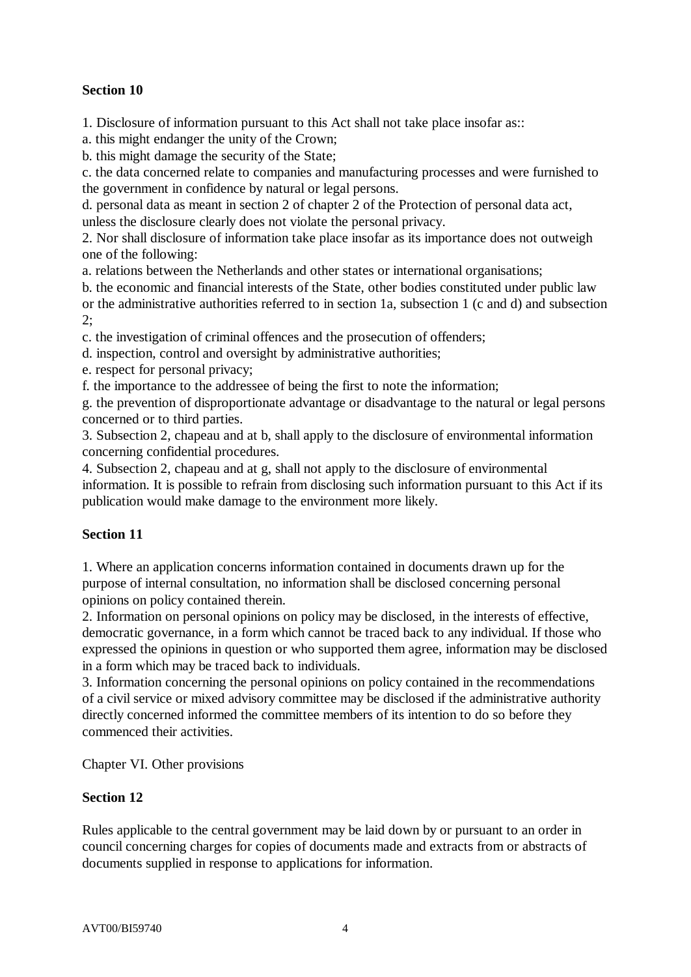# **Section 10**

1. Disclosure of information pursuant to this Act shall not take place insofar as::

a. this might endanger the unity of the Crown;

b. this might damage the security of the State;

c. the data concerned relate to companies and manufacturing processes and were furnished to the government in confidence by natural or legal persons.

d. personal data as meant in section 2 of chapter 2 of the Protection of personal data act, unless the disclosure clearly does not violate the personal privacy.

2. Nor shall disclosure of information take place insofar as its importance does not outweigh one of the following:

a. relations between the Netherlands and other states or international organisations;

b. the economic and financial interests of the State, other bodies constituted under public law

or the administrative authorities referred to in section 1a, subsection 1 (c and d) and subsection 2;

c. the investigation of criminal offences and the prosecution of offenders;

d. inspection, control and oversight by administrative authorities;

e. respect for personal privacy;

f. the importance to the addressee of being the first to note the information;

g. the prevention of disproportionate advantage or disadvantage to the natural or legal persons concerned or to third parties.

3. Subsection 2, chapeau and at b, shall apply to the disclosure of environmental information concerning confidential procedures.

4. Subsection 2, chapeau and at g, shall not apply to the disclosure of environmental information. It is possible to refrain from disclosing such information pursuant to this Act if its publication would make damage to the environment more likely.

# **Section 11**

1. Where an application concerns information contained in documents drawn up for the purpose of internal consultation, no information shall be disclosed concerning personal opinions on policy contained therein.

2. Information on personal opinions on policy may be disclosed, in the interests of effective, democratic governance, in a form which cannot be traced back to any individual. If those who expressed the opinions in question or who supported them agree, information may be disclosed in a form which may be traced back to individuals.

3. Information concerning the personal opinions on policy contained in the recommendations of a civil service or mixed advisory committee may be disclosed if the administrative authority directly concerned informed the committee members of its intention to do so before they commenced their activities.

Chapter VI. Other provisions

# **Section 12**

Rules applicable to the central government may be laid down by or pursuant to an order in council concerning charges for copies of documents made and extracts from or abstracts of documents supplied in response to applications for information.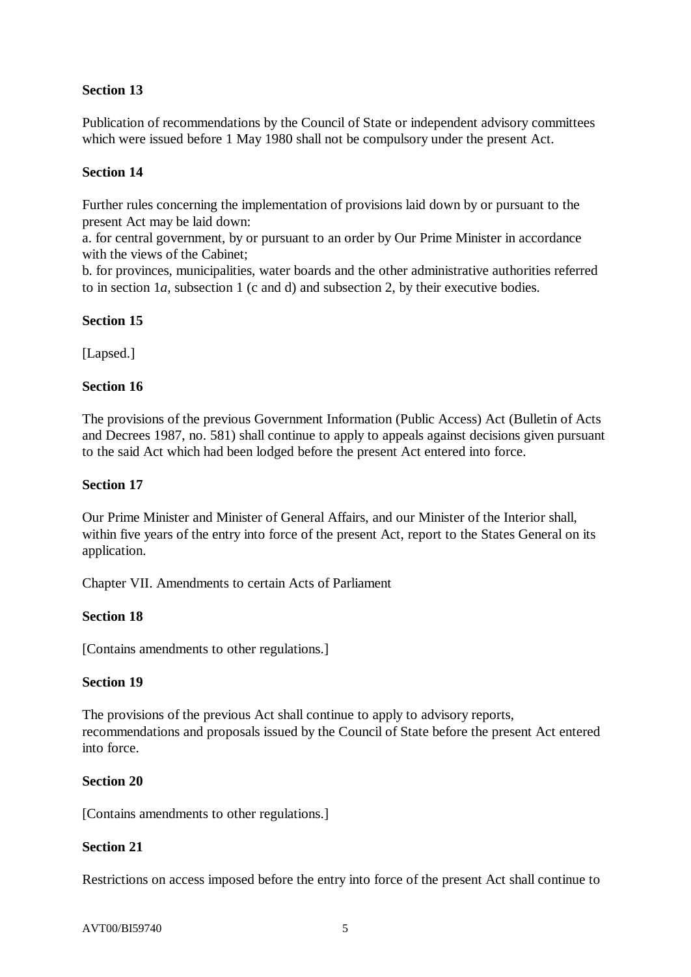# **Section 13**

Publication of recommendations by the Council of State or independent advisory committees which were issued before 1 May 1980 shall not be compulsory under the present Act.

## **Section 14**

Further rules concerning the implementation of provisions laid down by or pursuant to the present Act may be laid down:

a. for central government, by or pursuant to an order by Our Prime Minister in accordance with the views of the Cabinet;

b. for provinces, municipalities, water boards and the other administrative authorities referred to in section 1*a*, subsection 1 (c and d) and subsection 2, by their executive bodies.

## **Section 15**

[Lapsed.]

## **Section 16**

The provisions of the previous Government Information (Public Access) Act (Bulletin of Acts and Decrees 1987, no. 581) shall continue to apply to appeals against decisions given pursuant to the said Act which had been lodged before the present Act entered into force.

## **Section 17**

Our Prime Minister and Minister of General Affairs, and our Minister of the Interior shall, within five years of the entry into force of the present Act, report to the States General on its application.

Chapter VII. Amendments to certain Acts of Parliament

### **Section 18**

[Contains amendments to other regulations.]

### **Section 19**

The provisions of the previous Act shall continue to apply to advisory reports, recommendations and proposals issued by the Council of State before the present Act entered into force.

### **Section 20**

[Contains amendments to other regulations.]

# **Section 21**

Restrictions on access imposed before the entry into force of the present Act shall continue to